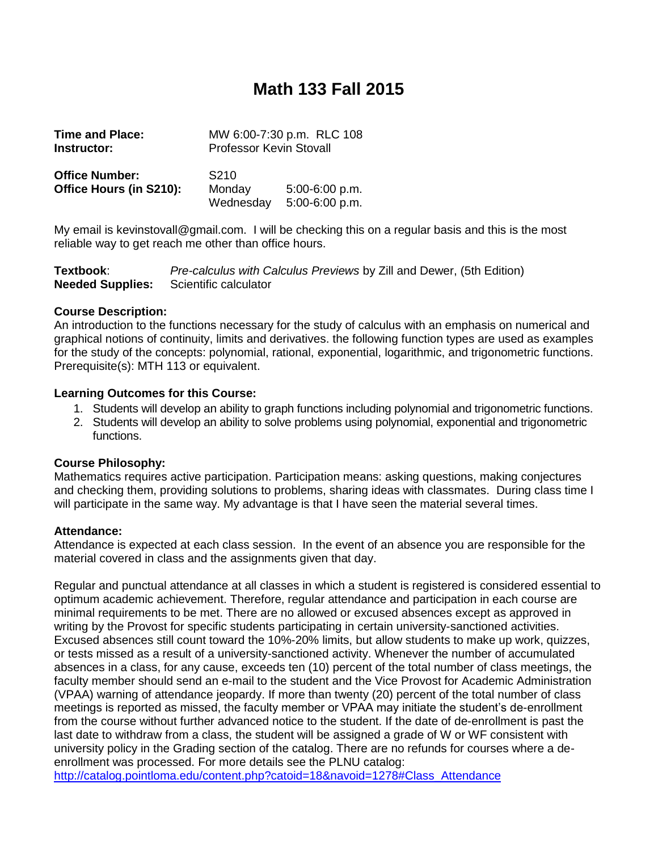## **Math 133 Fall 2015**

| <b>Time and Place:</b><br>Instructor:            |                            | MW 6:00-7:30 p.m. RLC 108<br><b>Professor Kevin Stovall</b> |  |  |
|--------------------------------------------------|----------------------------|-------------------------------------------------------------|--|--|
| <b>Office Number:</b><br>Office Hours (in S210): | S <sub>210</sub><br>Monday | $5:00-6:00 p.m.$                                            |  |  |

My email is kevinstovall@gmail.com. I will be checking this on a regular basis and this is the most reliable way to get reach me other than office hours.

| Textbook:               | Pre-calculus with Calculus Previews by Zill and Dewer, (5th Edition) |
|-------------------------|----------------------------------------------------------------------|
| <b>Needed Supplies:</b> | Scientific calculator                                                |

Wednesday 5:00-6:00 p.m.

#### **Course Description:**

An introduction to the functions necessary for the study of calculus with an emphasis on numerical and graphical notions of continuity, limits and derivatives. the following function types are used as examples for the study of the concepts: polynomial, rational, exponential, logarithmic, and trigonometric functions. Prerequisite(s): MTH 113 or equivalent.

#### **Learning Outcomes for this Course:**

- 1. Students will develop an ability to graph functions including polynomial and trigonometric functions.
- 2. Students will develop an ability to solve problems using polynomial, exponential and trigonometric functions.

#### **Course Philosophy:**

Mathematics requires active participation. Participation means: asking questions, making conjectures and checking them, providing solutions to problems, sharing ideas with classmates. During class time I will participate in the same way. My advantage is that I have seen the material several times.

#### **Attendance:**

Attendance is expected at each class session. In the event of an absence you are responsible for the material covered in class and the assignments given that day.

Regular and punctual attendance at all classes in which a student is registered is considered essential to optimum academic achievement. Therefore, regular attendance and participation in each course are minimal requirements to be met. There are no allowed or excused absences except as approved in writing by the Provost for specific students participating in certain university-sanctioned activities. Excused absences still count toward the 10%-20% limits, but allow students to make up work, quizzes, or tests missed as a result of a university-sanctioned activity. Whenever the number of accumulated absences in a class, for any cause, exceeds ten (10) percent of the total number of class meetings, the faculty member should send an e-mail to the student and the Vice Provost for Academic Administration (VPAA) warning of attendance jeopardy. If more than twenty (20) percent of the total number of class meetings is reported as missed, the faculty member or VPAA may initiate the student's de-enrollment from the course without further advanced notice to the student. If the date of de-enrollment is past the last date to withdraw from a class, the student will be assigned a grade of W or WF consistent with university policy in the Grading section of the catalog. There are no refunds for courses where a deenrollment was processed. For more details see the PLNU catalog:

[http://catalog.pointloma.edu/content.php?catoid=18&navoid=1278#Class\\_Attendance](http://catalog.pointloma.edu/content.php?catoid=18&navoid=1278#Class_Attendance)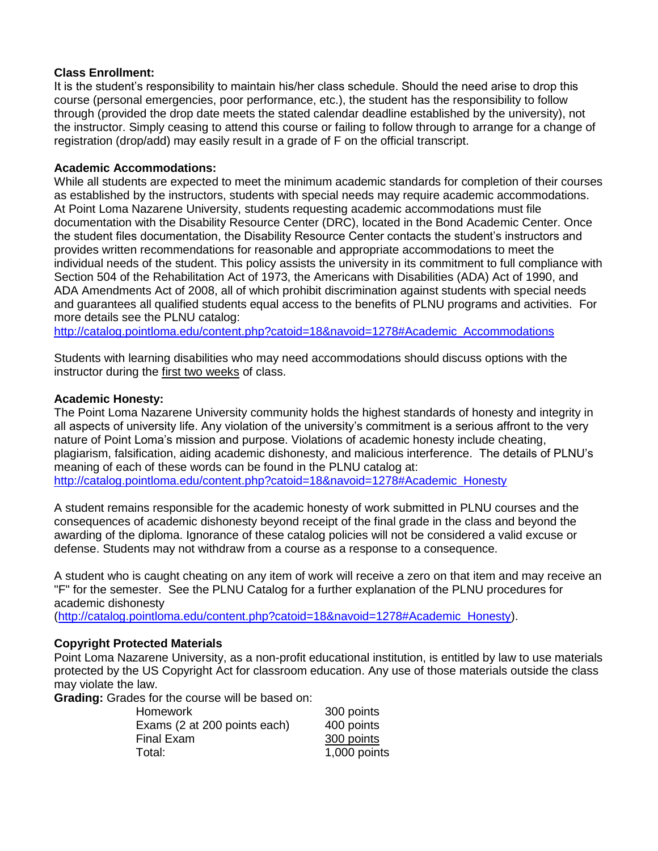#### **Class Enrollment:**

It is the student's responsibility to maintain his/her class schedule. Should the need arise to drop this course (personal emergencies, poor performance, etc.), the student has the responsibility to follow through (provided the drop date meets the stated calendar deadline established by the university), not the instructor. Simply ceasing to attend this course or failing to follow through to arrange for a change of registration (drop/add) may easily result in a grade of F on the official transcript.

#### **Academic Accommodations:**

While all students are expected to meet the minimum academic standards for completion of their courses as established by the instructors, students with special needs may require academic accommodations. At Point Loma Nazarene University, students requesting academic accommodations must file documentation with the Disability Resource Center (DRC), located in the Bond Academic Center. Once the student files documentation, the Disability Resource Center contacts the student's instructors and provides written recommendations for reasonable and appropriate accommodations to meet the individual needs of the student. This policy assists the university in its commitment to full compliance with Section 504 of the Rehabilitation Act of 1973, the Americans with Disabilities (ADA) Act of 1990, and ADA Amendments Act of 2008, all of which prohibit discrimination against students with special needs and guarantees all qualified students equal access to the benefits of PLNU programs and activities. For more details see the PLNU catalog:

[http://catalog.pointloma.edu/content.php?catoid=18&navoid=1278#Academic\\_Accommodations](http://catalog.pointloma.edu/content.php?catoid=18&navoid=1278#Academic_Accommodations) 

Students with learning disabilities who may need accommodations should discuss options with the instructor during the first two weeks of class.

#### **Academic Honesty:**

The Point Loma Nazarene University community holds the highest standards of honesty and integrity in all aspects of university life. Any violation of the university's commitment is a serious affront to the very nature of Point Loma's mission and purpose. Violations of academic honesty include cheating, plagiarism, falsification, aiding academic dishonesty, and malicious interference. The details of PLNU's meaning of each of these words can be found in the PLNU catalog at: [http://catalog.pointloma.edu/content.php?catoid=18&navoid=1278#Academic\\_Honesty](http://catalog.pointloma.edu/content.php?catoid=18&navoid=1278#Academic_Honesty)

A student remains responsible for the academic honesty of work submitted in PLNU courses and the consequences of academic dishonesty beyond receipt of the final grade in the class and beyond the awarding of the diploma. Ignorance of these catalog policies will not be considered a valid excuse or defense. Students may not withdraw from a course as a response to a consequence.

A student who is caught cheating on any item of work will receive a zero on that item and may receive an "F" for the semester. See the PLNU Catalog for a further explanation of the PLNU procedures for academic dishonesty

[\(http://catalog.pointloma.edu/content.php?catoid=18&navoid=1278#Academic\\_Honesty\)](http://catalog.pointloma.edu/content.php?catoid=18&navoid=1278#Academic_Honesty).

#### **Copyright Protected Materials**

Point Loma Nazarene University, as a non-profit educational institution, is entitled by law to use materials protected by the US Copyright Act for classroom education. Any use of those materials outside the class may violate the law.

**Grading:** Grades for the course will be based on:

| Homework                     | 300 points   |
|------------------------------|--------------|
| Exams (2 at 200 points each) | 400 points   |
| Final Exam                   | 300 points   |
| Total:                       | 1,000 points |
|                              |              |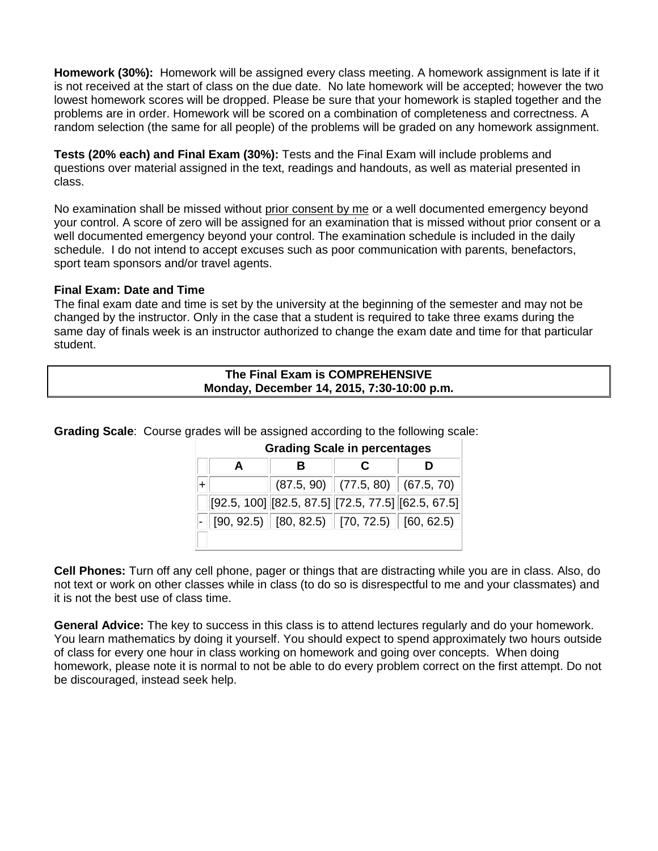**Homework (30%):** Homework will be assigned every class meeting. A homework assignment is late if it is not received at the start of class on the due date. No late homework will be accepted; however the two lowest homework scores will be dropped. Please be sure that your homework is stapled together and the problems are in order. Homework will be scored on a combination of completeness and correctness. A random selection (the same for all people) of the problems will be graded on any homework assignment.

**Tests (20% each) and Final Exam (30%):** Tests and the Final Exam will include problems and questions over material assigned in the text, readings and handouts, as well as material presented in class.

No examination shall be missed without prior consent by me or a well documented emergency beyond your control. A score of zero will be assigned for an examination that is missed without prior consent or a well documented emergency beyond your control. The examination schedule is included in the daily schedule. I do not intend to accept excuses such as poor communication with parents, benefactors, sport team sponsors and/or travel agents.

#### **Final Exam: Date and Time**

The final exam date and time is set by the university at the beginning of the semester and may not be changed by the instructor. Only in the case that a student is required to take three exams during the same day of finals week is an instructor authorized to change the exam date and time for that particular student.

| The Final Exam is COMPREHENSIVE            |  |
|--------------------------------------------|--|
| Monday, December 14, 2015, 7:30-10:00 p.m. |  |

**Grading Scale**: Course grades will be assigned according to the following scale:

| <b>Grading Scale in percentages</b> |  |  |                                                                                                  |
|-------------------------------------|--|--|--------------------------------------------------------------------------------------------------|
| A                                   |  |  |                                                                                                  |
|                                     |  |  | $(87.5, 90)$ $(77.5, 80)$ $(67.5, 70)$                                                           |
|                                     |  |  | $[92.5, 100]$ $[82.5, 87.5]$ $[72.5, 77.5]$ $[62.5, 67.5]$                                       |
|                                     |  |  | $\vert\text{-}\Vert$ [90, 92.5) $\Vert$ [80, 82.5) $\Vert$ [70, 72.5) $\Vert$ [60, 62.5) $\Vert$ |
|                                     |  |  |                                                                                                  |

**Cell Phones:** Turn off any cell phone, pager or things that are distracting while you are in class. Also, do not text or work on other classes while in class (to do so is disrespectful to me and your classmates) and it is not the best use of class time.

**General Advice:** The key to success in this class is to attend lectures regularly and do your homework. You learn mathematics by doing it yourself. You should expect to spend approximately two hours outside of class for every one hour in class working on homework and going over concepts. When doing homework, please note it is normal to not be able to do every problem correct on the first attempt. Do not be discouraged, instead seek help.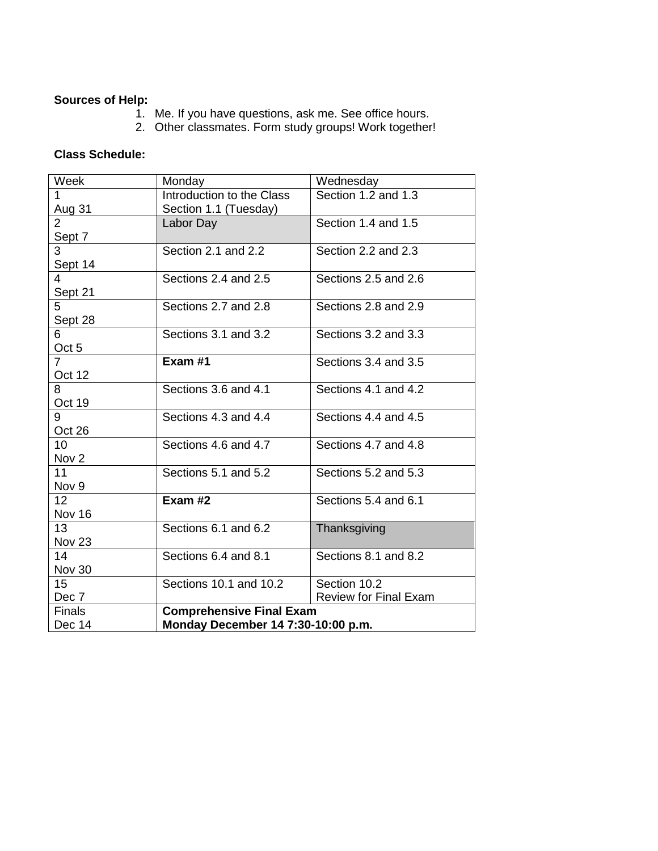### **Sources of Help:**

- 1. Me. If you have questions, ask me. See office hours.
- 2. Other classmates. Form study groups! Work together!

### **Class Schedule:**

| Week              | Monday                             | Wednesday                    |  |
|-------------------|------------------------------------|------------------------------|--|
| $\mathbf 1$       | Introduction to the Class          | Section 1.2 and 1.3          |  |
| Aug 31            | Section 1.1 (Tuesday)              |                              |  |
| $\overline{2}$    | Labor Day                          | Section 1.4 and 1.5          |  |
| Sept 7            |                                    |                              |  |
| 3                 | Section 2.1 and 2.2                | Section 2.2 and 2.3          |  |
| Sept 14           |                                    |                              |  |
| $\overline{4}$    | Sections 2.4 and 2.5               | Sections 2.5 and 2.6         |  |
| Sept 21           |                                    |                              |  |
| 5                 | Sections 2.7 and 2.8               | Sections 2.8 and 2.9         |  |
| Sept 28           |                                    |                              |  |
| 6                 | Sections 3.1 and 3.2               | Sections 3.2 and 3.3         |  |
| Oct <sub>5</sub>  |                                    |                              |  |
| $\overline{7}$    | Exam #1                            | Sections 3.4 and 3.5         |  |
| Oct 12            |                                    |                              |  |
| 8                 | Sections 3.6 and 4.1               | Sections 4.1 and 4.2         |  |
| Oct 19            |                                    |                              |  |
| 9                 | Sections 4.3 and 4.4               | Sections 4.4 and 4.5         |  |
| Oct 26            |                                    |                              |  |
| 10 <sup>1</sup>   | Sections 4.6 and 4.7               | Sections 4.7 and 4.8         |  |
| Nov <sub>2</sub>  |                                    |                              |  |
| 11                | Sections 5.1 and 5.2               | Sections 5.2 and 5.3         |  |
| Nov 9             |                                    |                              |  |
| 12 <sup>2</sup>   | Exam #2                            | Sections 5.4 and 6.1         |  |
| Nov 16            |                                    |                              |  |
| 13 <sup>2</sup>   | Sections 6.1 and 6.2               | Thanksgiving                 |  |
| Nov <sub>23</sub> |                                    |                              |  |
| 14                | Sections 6.4 and 8.1               | Sections 8.1 and 8.2         |  |
| Nov 30            |                                    |                              |  |
| 15                | Sections 10.1 and 10.2             | Section 10.2                 |  |
| Dec 7             |                                    | <b>Review for Final Exam</b> |  |
| <b>Finals</b>     | <b>Comprehensive Final Exam</b>    |                              |  |
| Dec 14            | Monday December 14 7:30-10:00 p.m. |                              |  |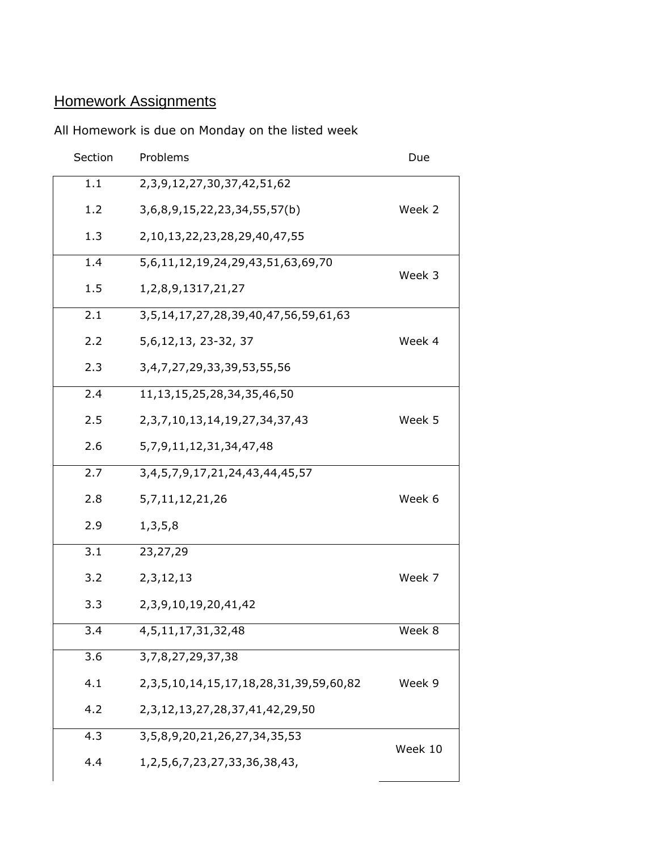# **Homework Assignments**

## All Homework is due on Monday on the listed week

| Section | Problems                                            | Due     |
|---------|-----------------------------------------------------|---------|
| 1.1     | 2, 3, 9, 12, 27, 30, 37, 42, 51, 62                 |         |
| 1.2     | 3,6,8,9,15,22,23,34,55,57(b)                        | Week 2  |
| 1.3     | 2,10,13,22,23,28,29,40,47,55                        |         |
| 1.4     | 5,6,11,12,19,24,29,43,51,63,69,70                   | Week 3  |
| 1.5     | 1, 2, 8, 9, 1317, 21, 27                            |         |
| 2.1     | 3,5,14,17,27,28,39,40,47,56,59,61,63                |         |
| 2.2     | 5, 6, 12, 13, 23 - 32, 37                           | Week 4  |
| 2.3     | 3,4,7,27,29,33,39,53,55,56                          |         |
| 2.4     | 11, 13, 15, 25, 28, 34, 35, 46, 50                  |         |
| 2.5     | 2, 3, 7, 10, 13, 14, 19, 27, 34, 37, 43             | Week 5  |
| 2.6     | 5, 7, 9, 11, 12, 31, 34, 47, 48                     |         |
| 2.7     | 3, 4, 5, 7, 9, 17, 21, 24, 43, 44, 45, 57           |         |
| 2.8     | 5, 7, 11, 12, 21, 26                                | Week 6  |
| 2.9     | 1, 3, 5, 8                                          |         |
| 3.1     | 23,27,29                                            |         |
| 3.2     | 2, 3, 12, 13                                        | Week 7  |
| 3.3     | 2, 3, 9, 10, 19, 20, 41, 42                         |         |
| 3.4     | 4, 5, 11, 17, 31, 32, 48                            | Week 8  |
| 3.6     | 3,7,8,27,29,37,38                                   |         |
| 4.1     | 2, 3, 5, 10, 14, 15, 17, 18, 28, 31, 39, 59, 60, 82 | Week 9  |
| 4.2     | 2, 3, 12, 13, 27, 28, 37, 41, 42, 29, 50            |         |
| 4.3     | 3,5,8,9,20,21,26,27,34,35,53                        | Week 10 |
| 4.4     | 1, 2, 5, 6, 7, 23, 27, 33, 36, 38, 43,              |         |
|         |                                                     |         |